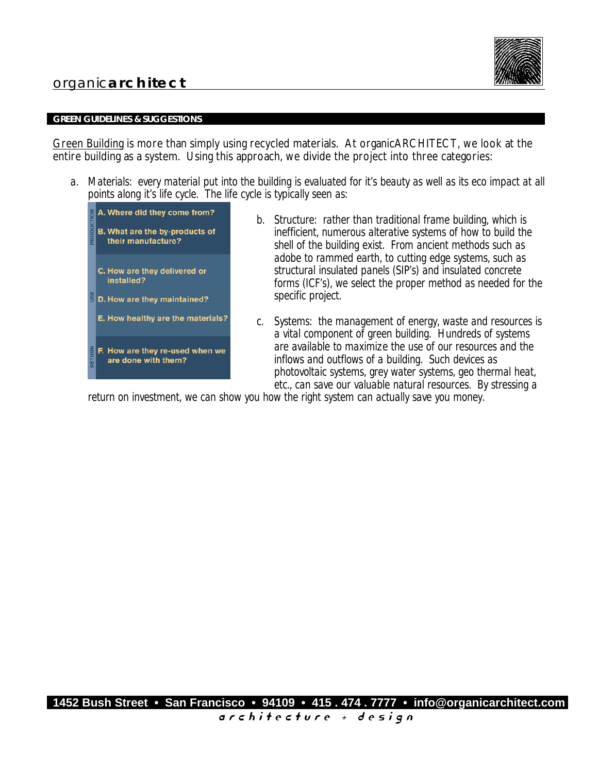# organic**architect**



## **GREEN GUIDELINES & SUGGESTIONS**

Green Building is more than simply using recycled materials. At organicARCHITECT, we look at the entire building as a system. Using this approach, we divide the project into three categories:

*a. Materials: every material put into the building is evaluated for it's beauty as well as its eco impact at all points along it's life cycle. The life cycle is typically seen as:*



- *b. Structure: rather than traditional frame building, which is inefficient, numerous alterative systems of how to build the shell of the building exist. From ancient methods such as adobe to rammed earth, to cutting edge systems, such as structural insulated panels (SIP's) and insulated concrete forms (ICF's), we select the proper method as needed for the specific project.*
- *c. Systems: the management of energy, waste and resources is a vital component of green building. Hundreds of systems are available to maximize the use of our resources and the inflows and outflows of a building. Such devices as photovoltaic systems, grey water systems, geo thermal heat, etc., can save our valuable natural resources. By stressing a*

*return on investment, we can show you how the right system can actually save you money.*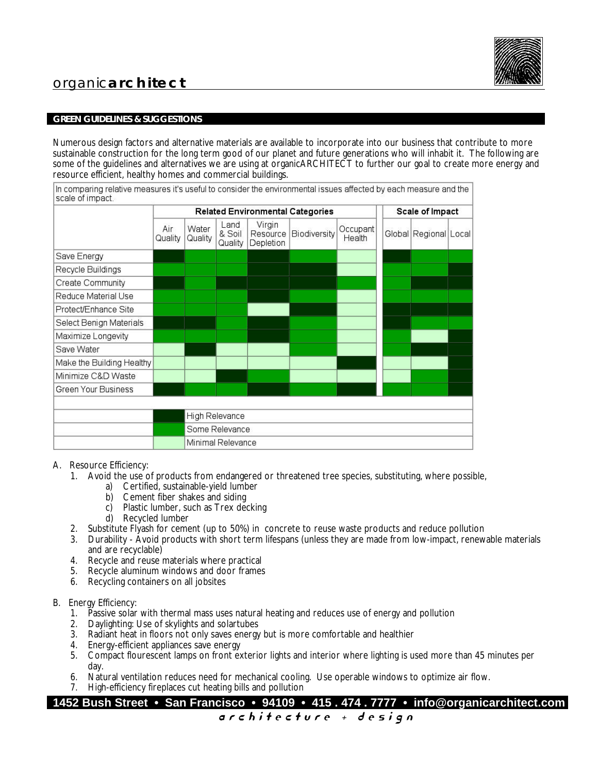# organic**architect**

## **GREEN GUIDELINES & SUGGESTIONS**

Numerous design factors and alternative materials are available to incorporate into our business that contribute to more sustainable construction for the long term good of our planet and future generations who will inhabit it. The following are some of the guidelines and alternatives we are using at organicARCHITECT to further our goal to create more energy and resource efficient, healthy homes and commercial buildings.

In comparing relative measures it's useful to consider the environmental issues affected by each measure and the scale of impact.

|                           | <b>Related Environmental Categories</b> |                   |                           |                                 |              |                    | Scale of Impact |                       |  |
|---------------------------|-----------------------------------------|-------------------|---------------------------|---------------------------------|--------------|--------------------|-----------------|-----------------------|--|
|                           | Air<br>Quality                          | Water<br>Quality  | Land<br>& Soil<br>Quality | Virgin<br>Resource<br>Depletion | Biodiversity | Occupant<br>Health |                 | Global Regional Local |  |
| Save Energy               |                                         |                   |                           |                                 |              |                    |                 |                       |  |
| Recycle Buildings         |                                         |                   |                           |                                 |              |                    |                 |                       |  |
| Create Community          |                                         |                   |                           |                                 |              |                    |                 |                       |  |
| Reduce Material Use       |                                         |                   |                           |                                 |              |                    |                 |                       |  |
| Protect/Enhance Site      |                                         |                   |                           |                                 |              |                    |                 |                       |  |
| Select Benign Materials   |                                         |                   |                           |                                 |              |                    |                 |                       |  |
| Maximize Longevity        |                                         |                   |                           |                                 |              |                    |                 |                       |  |
| Save Water                |                                         |                   |                           |                                 |              |                    |                 |                       |  |
| Make the Building Healthy |                                         |                   |                           |                                 |              |                    |                 |                       |  |
| Minimize C&D Waste        |                                         |                   |                           |                                 |              |                    |                 |                       |  |
| Green Your Business       |                                         |                   |                           |                                 |              |                    |                 |                       |  |
|                           |                                         |                   |                           |                                 |              |                    |                 |                       |  |
|                           |                                         | High Relevance    |                           |                                 |              |                    |                 |                       |  |
|                           |                                         | Some Relevance    |                           |                                 |              |                    |                 |                       |  |
|                           |                                         | Minimal Relevance |                           |                                 |              |                    |                 |                       |  |

#### A. Resource Efficiency:

- 1. Avoid the use of products from endangered or threatened tree species, substituting, where possible,
	- a) Certified, sustainable-yield lumber
	- b) Cement fiber shakes and siding
	- c) Plastic lumber, such as Trex decking
	- d) Recycled lumber
- 2. Substitute Flyash for cement (up to 50%) in concrete to reuse waste products and reduce pollution
- 3. Durability Avoid products with short term lifespans (unless they are made from low-impact, renewable materials and are recyclable)
- 4. Recycle and reuse materials where practical
- 5. Recycle aluminum windows and door frames
- 6. Recycling containers on all jobsites
- B. Energy Efficiency:
	- 1. Passive solar with thermal mass uses natural heating and reduces use of energy and pollution
	- 2. Daylighting: Use of skylights and solartubes
	- 3. Radiant heat in floors not only saves energy but is more comfortable and healthier
	- 4. Energy-efficient appliances save energy
	- 5. Compact flourescent lamps on front exterior lights and interior where lighting is used more than 45 minutes per day.
	- 6. Natural ventilation reduces need for mechanical cooling. Use operable windows to optimize air flow.
	- 7. High-efficiency fireplaces cut heating bills and pollution

**1452 Bush Street • San Francisco • 94109 • 415 . 474 . 7777 • info@organicarchitect.com**

a r c h i t e c t u r e + d e s i g n